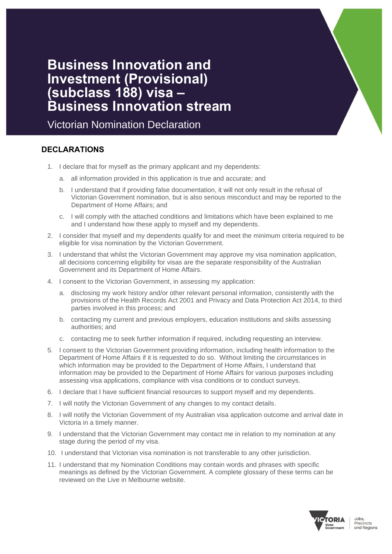# **Business Innovation and Investment (Provisional) (subclass 188) visa – Business Innovation stream**

Victorian Nomination Declaration

## **DECLARATIONS**

- 1. I declare that for myself as the primary applicant and my dependents:
	- a. all information provided in this application is true and accurate; and
	- b. I understand that if providing false documentation, it will not only result in the refusal of Victorian Government nomination, but is also serious misconduct and may be reported to the Department of Home Affairs; and
	- c. I will comply with the attached conditions and limitations which have been explained to me and I understand how these apply to myself and my dependents.
- 2. I consider that myself and my dependents qualify for and meet the minimum criteria required to be eligible for visa nomination by the Victorian Government.
- 3. I understand that whilst the Victorian Government may approve my visa nomination application, all decisions concerning eligibility for visas are the separate responsibility of the Australian Government and its Department of Home Affairs.
- 4. I consent to the Victorian Government, in assessing my application:
	- a. disclosing my work history and/or other relevant personal information, consistently with the provisions of the Health Records Act 2001 and Privacy and Data Protection Act 2014, to third parties involved in this process; and
	- b. contacting my current and previous employers, education institutions and skills assessing authorities; and
	- c. contacting me to seek further information if required, including requesting an interview.
- 5. I consent to the Victorian Government providing information, including health information to the Department of Home Affairs if it is requested to do so. Without limiting the circumstances in which information may be provided to the Department of Home Affairs, I understand that information may be provided to the Department of Home Affairs for various purposes including assessing visa applications, compliance with visa conditions or to conduct surveys.
- 6. I declare that I have sufficient financial resources to support myself and my dependents.
- 7. I will notify the Victorian Government of any changes to my contact details.
- 8. I will notify the Victorian Government of my Australian visa application outcome and arrival date in Victoria in a timely manner.
- 9. I understand that the Victorian Government may contact me in relation to my nomination at any stage during the period of my visa.
- 10. I understand that Victorian visa nomination is not transferable to any other jurisdiction.
- 11. I understand that my Nomination Conditions may contain words and phrases with specific meanings as defined by the Victorian Government. A complete glossary of these terms can be reviewed on the Live in Melbourne website.

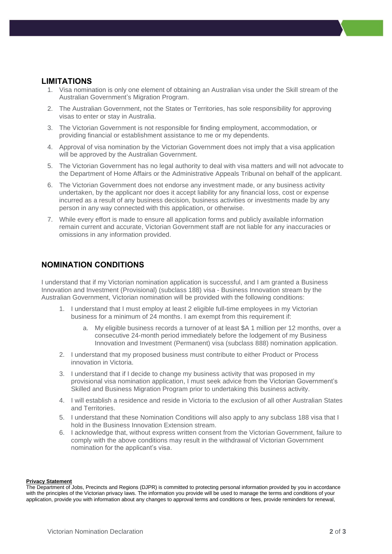#### **LIMITATIONS**

- 1. Visa nomination is only one element of obtaining an Australian visa under the Skill stream of the Australian Government's Migration Program.
- 2. The Australian Government, not the States or Territories, has sole responsibility for approving visas to enter or stay in Australia.
- 3. The Victorian Government is not responsible for finding employment, accommodation, or providing financial or establishment assistance to me or my dependents.
- 4. Approval of visa nomination by the Victorian Government does not imply that a visa application will be approved by the Australian Government.
- 5. The Victorian Government has no legal authority to deal with visa matters and will not advocate to the Department of Home Affairs or the Administrative Appeals Tribunal on behalf of the applicant.
- 6. The Victorian Government does not endorse any investment made, or any business activity undertaken, by the applicant nor does it accept liability for any financial loss, cost or expense incurred as a result of any business decision, business activities or investments made by any person in any way connected with this application, or otherwise.
- 7. While every effort is made to ensure all application forms and publicly available information remain current and accurate, Victorian Government staff are not liable for any inaccuracies or omissions in any information provided.

### **NOMINATION CONDITIONS**

I understand that if my Victorian nomination application is successful, and I am granted a Business Innovation and Investment (Provisional) (subclass 188) visa - Business Innovation stream by the Australian Government, Victorian nomination will be provided with the following conditions:

- 1. I understand that I must employ at least 2 eligible full-time employees in my Victorian business for a minimum of 24 months. I am exempt from this requirement if:
	- a. My eligible business records a turnover of at least \$A 1 million per 12 months, over a consecutive 24-month period immediately before the lodgement of my Business Innovation and Investment (Permanent) visa (subclass 888) nomination application.
- 2. I understand that my proposed business must contribute to either Product or Process innovation in Victoria.
- 3. I understand that if I decide to change my business activity that was proposed in my provisional visa nomination application, I must seek advice from the Victorian Government's Skilled and Business Migration Program prior to undertaking this business activity.
- 4. I will establish a residence and reside in Victoria to the exclusion of all other Australian States and Territories.
- 5. I understand that these Nomination Conditions will also apply to any subclass 188 visa that I hold in the Business Innovation Extension stream.
- 6. I acknowledge that, without express written consent from the Victorian Government, failure to comply with the above conditions may result in the withdrawal of Victorian Government nomination for the applicant's visa.

#### **Privacy Statement**

The Department of Jobs, Precincts and Regions (DJPR) is committed to protecting personal information provided by you in accordance with the principles of the Victorian privacy laws. The information you provide will be used to manage the terms and conditions of your application, provide you with information about any changes to approval terms and conditions or fees, provide reminders for renewal,